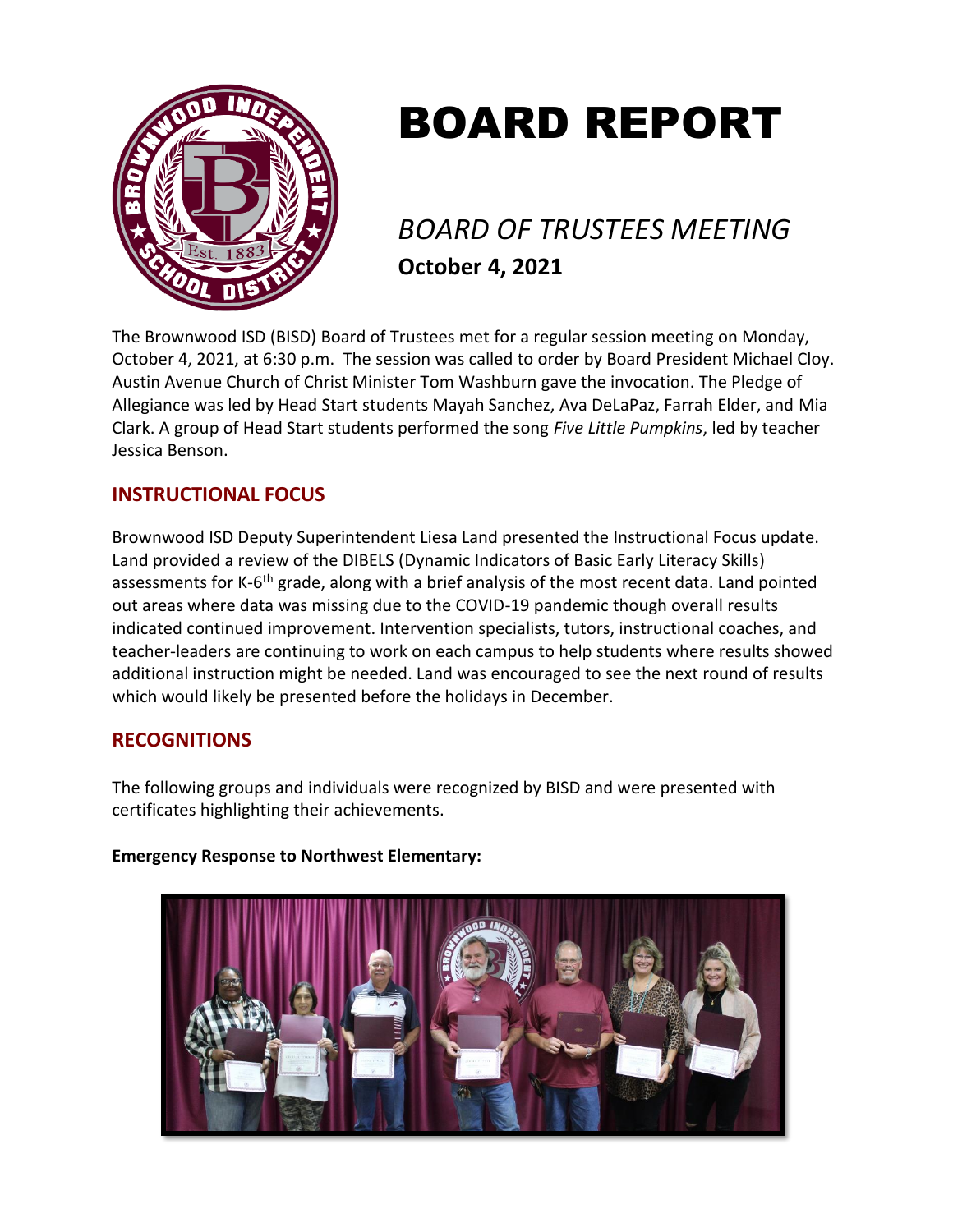

# BOARD REPORT

# *BOARD OF TRUSTEES MEETING* **October 4, 2021**

The Brownwood ISD (BISD) Board of Trustees met for a regular session meeting on Monday, October 4, 2021, at 6:30 p.m. The session was called to order by Board President Michael Cloy. Austin Avenue Church of Christ Minister Tom Washburn gave the invocation. The Pledge of Allegiance was led by Head Start students Mayah Sanchez, Ava DeLaPaz, Farrah Elder, and Mia Clark. A group of Head Start students performed the song *Five Little Pumpkins*, led by teacher Jessica Benson.

# **INSTRUCTIONAL FOCUS**

Brownwood ISD Deputy Superintendent Liesa Land presented the Instructional Focus update. Land provided a review of the DIBELS (Dynamic Indicators of Basic Early Literacy Skills) assessments for K-6<sup>th</sup> grade, along with a brief analysis of the most recent data. Land pointed out areas where data was missing due to the COVID-19 pandemic though overall results indicated continued improvement. Intervention specialists, tutors, instructional coaches, and teacher-leaders are continuing to work on each campus to help students where results showed additional instruction might be needed. Land was encouraged to see the next round of results which would likely be presented before the holidays in December.

# **RECOGNITIONS**

The following groups and individuals were recognized by BISD and were presented with certificates highlighting their achievements.

# **Emergency Response to Northwest Elementary:**

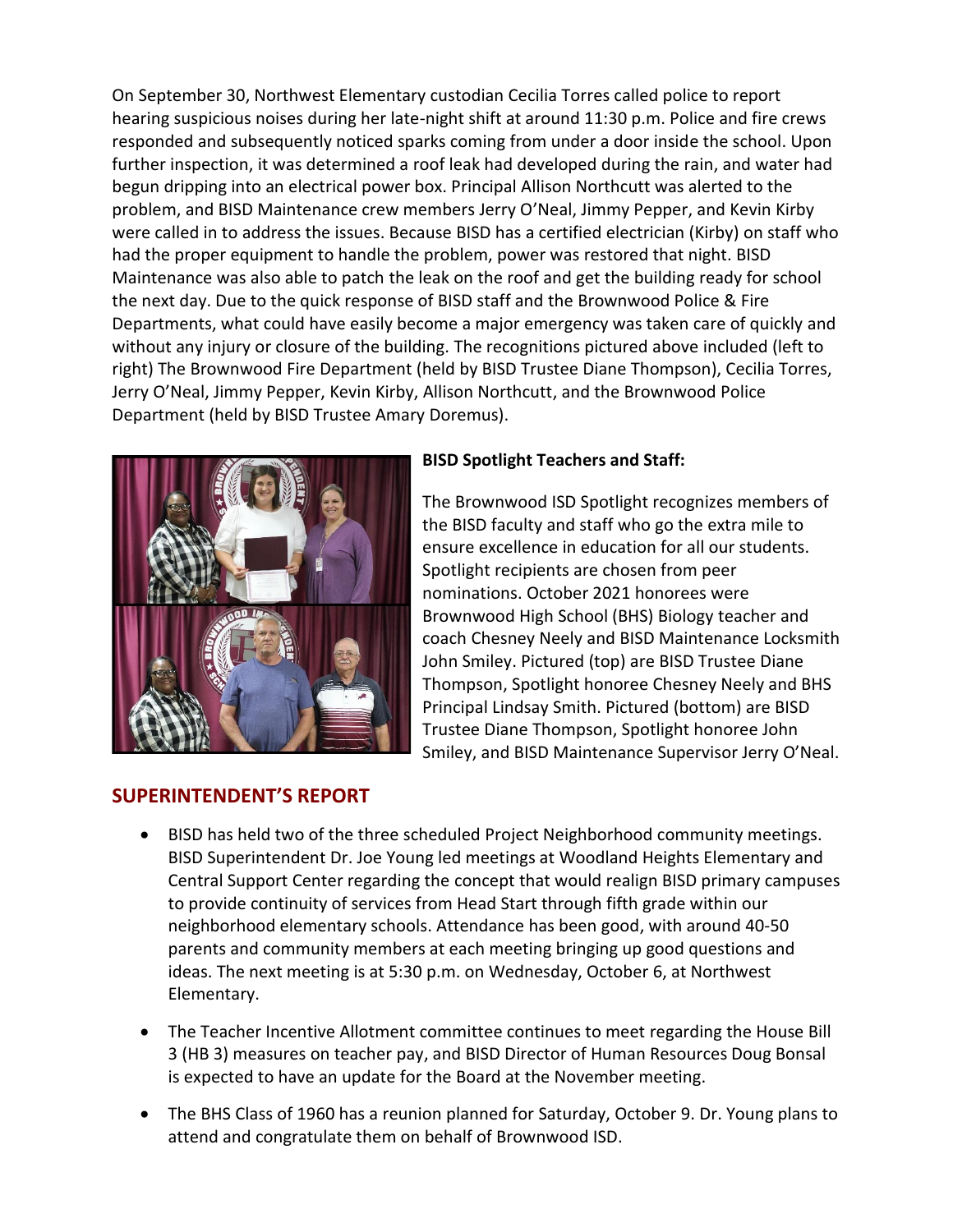On September 30, Northwest Elementary custodian Cecilia Torres called police to report hearing suspicious noises during her late-night shift at around 11:30 p.m. Police and fire crews responded and subsequently noticed sparks coming from under a door inside the school. Upon further inspection, it was determined a roof leak had developed during the rain, and water had begun dripping into an electrical power box. Principal Allison Northcutt was alerted to the problem, and BISD Maintenance crew members Jerry O'Neal, Jimmy Pepper, and Kevin Kirby were called in to address the issues. Because BISD has a certified electrician (Kirby) on staff who had the proper equipment to handle the problem, power was restored that night. BISD Maintenance was also able to patch the leak on the roof and get the building ready for school the next day. Due to the quick response of BISD staff and the Brownwood Police & Fire Departments, what could have easily become a major emergency was taken care of quickly and without any injury or closure of the building. The recognitions pictured above included (left to right) The Brownwood Fire Department (held by BISD Trustee Diane Thompson), Cecilia Torres, Jerry O'Neal, Jimmy Pepper, Kevin Kirby, Allison Northcutt, and the Brownwood Police Department (held by BISD Trustee Amary Doremus).



#### **BISD Spotlight Teachers and Staff:**

The Brownwood ISD Spotlight recognizes members of the BISD faculty and staff who go the extra mile to ensure excellence in education for all our students. Spotlight recipients are chosen from peer nominations. October 2021 honorees were Brownwood High School (BHS) Biology teacher and coach Chesney Neely and BISD Maintenance Locksmith John Smiley. Pictured (top) are BISD Trustee Diane Thompson, Spotlight honoree Chesney Neely and BHS Principal Lindsay Smith. Pictured (bottom) are BISD Trustee Diane Thompson, Spotlight honoree John Smiley, and BISD Maintenance Supervisor Jerry O'Neal.

# **SUPERINTENDENT'S REPORT**

- BISD has held two of the three scheduled Project Neighborhood community meetings. BISD Superintendent Dr. Joe Young led meetings at Woodland Heights Elementary and Central Support Center regarding the concept that would realign BISD primary campuses to provide continuity of services from Head Start through fifth grade within our neighborhood elementary schools. Attendance has been good, with around 40-50 parents and community members at each meeting bringing up good questions and ideas. The next meeting is at 5:30 p.m. on Wednesday, October 6, at Northwest Elementary.
- The Teacher Incentive Allotment committee continues to meet regarding the House Bill 3 (HB 3) measures on teacher pay, and BISD Director of Human Resources Doug Bonsal is expected to have an update for the Board at the November meeting.
- The BHS Class of 1960 has a reunion planned for Saturday, October 9. Dr. Young plans to attend and congratulate them on behalf of Brownwood ISD.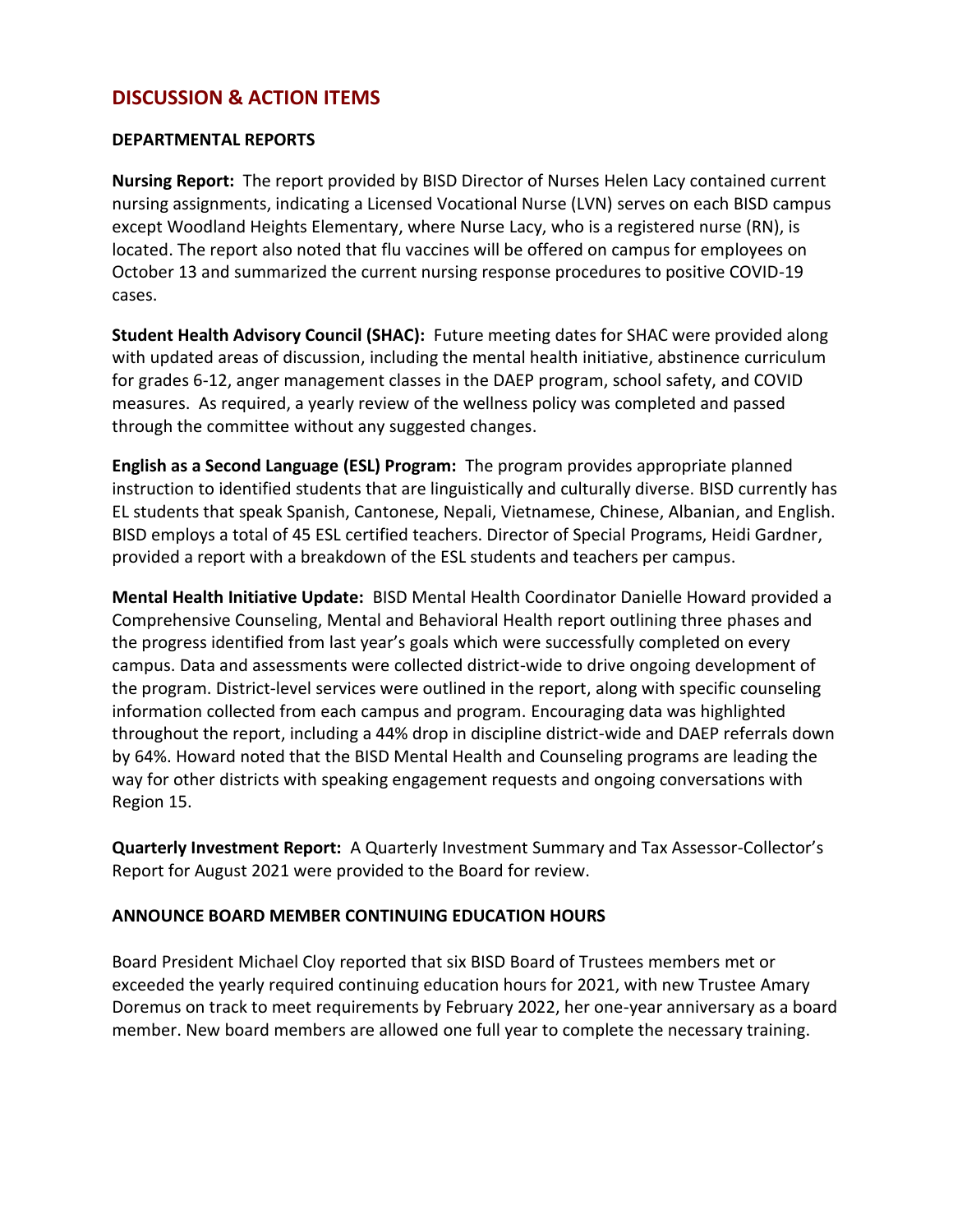# **DISCUSSION & ACTION ITEMS**

#### **DEPARTMENTAL REPORTS**

**Nursing Report:** The report provided by BISD Director of Nurses Helen Lacy contained current nursing assignments, indicating a Licensed Vocational Nurse (LVN) serves on each BISD campus except Woodland Heights Elementary, where Nurse Lacy, who is a registered nurse (RN), is located. The report also noted that flu vaccines will be offered on campus for employees on October 13 and summarized the current nursing response procedures to positive COVID-19 cases.

**Student Health Advisory Council (SHAC):** Future meeting dates for SHAC were provided along with updated areas of discussion, including the mental health initiative, abstinence curriculum for grades 6-12, anger management classes in the DAEP program, school safety, and COVID measures. As required, a yearly review of the wellness policy was completed and passed through the committee without any suggested changes.

**English as a Second Language (ESL) Program:** The program provides appropriate planned instruction to identified students that are linguistically and culturally diverse. BISD currently has EL students that speak Spanish, Cantonese, Nepali, Vietnamese, Chinese, Albanian, and English. BISD employs a total of 45 ESL certified teachers. Director of Special Programs, Heidi Gardner, provided a report with a breakdown of the ESL students and teachers per campus.

**Mental Health Initiative Update:** BISD Mental Health Coordinator Danielle Howard provided a Comprehensive Counseling, Mental and Behavioral Health report outlining three phases and the progress identified from last year's goals which were successfully completed on every campus. Data and assessments were collected district-wide to drive ongoing development of the program. District-level services were outlined in the report, along with specific counseling information collected from each campus and program. Encouraging data was highlighted throughout the report, including a 44% drop in discipline district-wide and DAEP referrals down by 64%. Howard noted that the BISD Mental Health and Counseling programs are leading the way for other districts with speaking engagement requests and ongoing conversations with Region 15.

**Quarterly Investment Report:** A Quarterly Investment Summary and Tax Assessor-Collector's Report for August 2021 were provided to the Board for review.

# **ANNOUNCE BOARD MEMBER CONTINUING EDUCATION HOURS**

Board President Michael Cloy reported that six BISD Board of Trustees members met or exceeded the yearly required continuing education hours for 2021, with new Trustee Amary Doremus on track to meet requirements by February 2022, her one-year anniversary as a board member. New board members are allowed one full year to complete the necessary training.